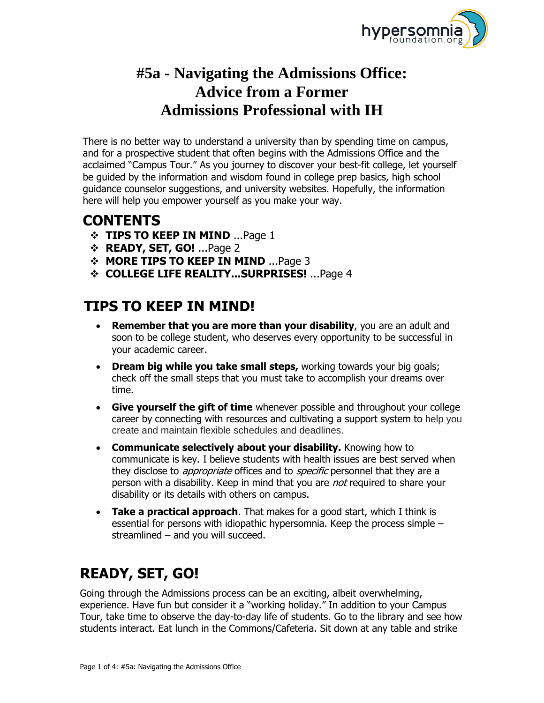

## **#5a - Navigating the Admissions Office: Advice from a Former Admissions Professional with IH**

There is no better way to understand a university than by spending time on campus, and for a prospective student that often begins with the Admissions Office and the acclaimed "Campus Tour." As you journey to discover your best-fit college, let yourself be guided by the information and wisdom found in college prep basics, high school guidance counselor suggestions, and university websites. Hopefully, the information here will help you empower yourself as you make your way.

## **CONTENTS**

- **TIPS TO KEEP IN MIND** ...Page 1
- **READY, SET, GO!** ...Page 2
- **MORE TIPS TO KEEP IN MIND** ...Page 3
- **COLLEGE LIFE REALITY...SURPRISES!** ...Page 4

## **TIPS TO KEEP IN MIND!**

- **Remember that you are more than your disability**, you are an adult and soon to be college student, who deserves every opportunity to be successful in your academic career.
- **Dream big while you take small steps,** working towards your big goals; check off the small steps that you must take to accomplish your dreams over time.
- **Give yourself the gift of time** whenever possible and throughout your college career by connecting with resources and cultivating a support system to help you create and maintain flexible schedules and deadlines.
- **Communicate selectively about your disability.** Knowing how to communicate is key. I believe students with health issues are best served when they disclose to *appropriate* offices and to *specific* personnel that they are a person with a disability. Keep in mind that you are *not* required to share your disability or its details with others on campus.
- **Take a practical approach**. That makes for a good start, which I think is essential for persons with idiopathic hypersomnia. Keep the process simple – streamlined – and you will succeed.

# **READY, SET, GO!**

Going through the Admissions process can be an exciting, albeit overwhelming, experience. Have fun but consider it a "working holiday." In addition to your Campus Tour, take time to observe the day-to-day life of students. Go to the library and see how students interact. Eat lunch in the Commons/Cafeteria. Sit down at any table and strike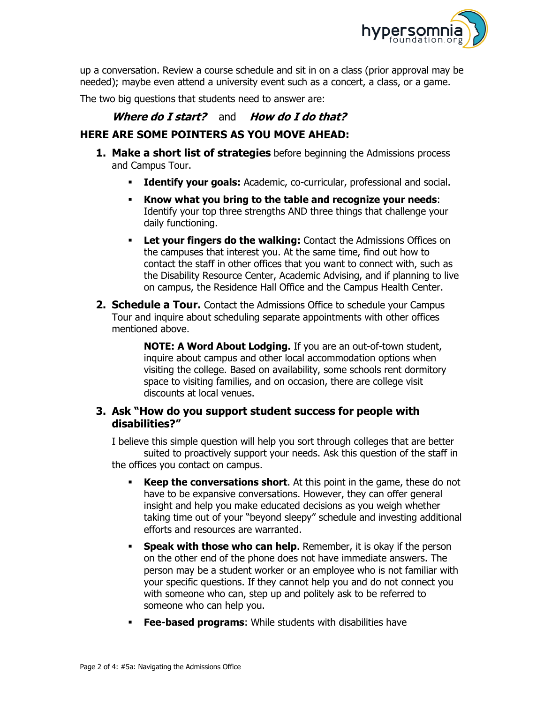

up a conversation. Review a course schedule and sit in on a class (prior approval may be needed); maybe even attend a university event such as a concert, a class, or a game.

The two big questions that students need to answer are:

#### **Where do I start?** and **How do I do that?**

#### **HERE ARE SOME POINTERS AS YOU MOVE AHEAD:**

- **1. Make a short list of strategies** before beginning the Admissions process and Campus Tour.
	- **Identify your goals:** Academic, co-curricular, professional and social.
	- **Know what you bring to the table and recognize your needs**: Identify your top three strengths AND three things that challenge your daily functioning.
	- **Let your fingers do the walking:** Contact the Admissions Offices on the campuses that interest you. At the same time, find out how to contact the staff in other offices that you want to connect with, such as the Disability Resource Center, Academic Advising, and if planning to live on campus, the Residence Hall Office and the Campus Health Center.
- **2. Schedule a Tour.** Contact the Admissions Office to schedule your Campus Tour and inquire about scheduling separate appointments with other offices mentioned above.

**NOTE: A Word About Lodging.** If you are an out-of-town student, inquire about campus and other local accommodation options when visiting the college. Based on availability, some schools rent dormitory space to visiting families, and on occasion, there are college visit discounts at local venues.

#### **3. Ask "How do you support student success for people with disabilities?"**

I believe this simple question will help you sort through colleges that are better suited to proactively support your needs. Ask this question of the staff in the offices you contact on campus.

- **Keep the conversations short.** At this point in the game, these do not have to be expansive conversations. However, they can offer general insight and help you make educated decisions as you weigh whether taking time out of your "beyond sleepy" schedule and investing additional efforts and resources are warranted.
- **Speak with those who can help**. Remember, it is okay if the person on the other end of the phone does not have immediate answers. The person may be a student worker or an employee who is not familiar with your specific questions. If they cannot help you and do not connect you with someone who can, step up and politely ask to be referred to someone who can help you.
- **Fee-based programs**: While students with disabilities have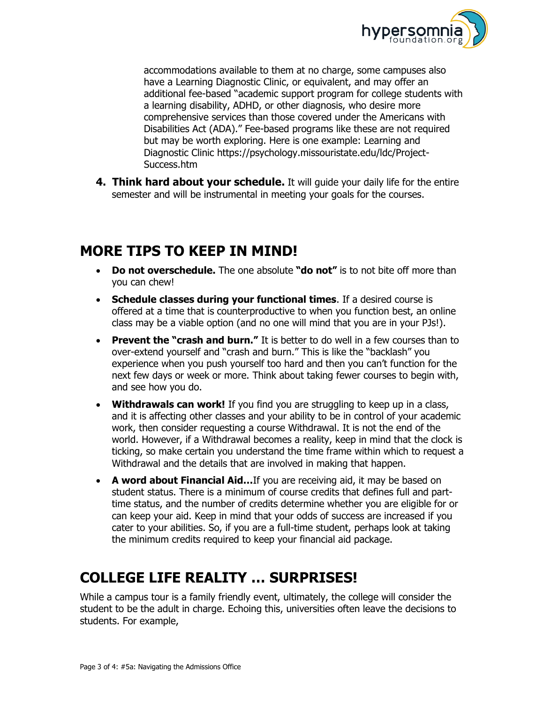

accommodations available to them at no charge, some campuses also have a Learning Diagnostic Clinic, or equivalent, and may offer an additional fee-based "academic support program for college students with a learning disability, ADHD, or other diagnosis, who desire more comprehensive services than those covered under the Americans with Disabilities Act (ADA)." Fee-based programs like these are not required but may be worth exploring. Here is one example: Learning and Diagnostic Clinic [https://psychology.missouristate.edu/ldc/Project-](https://psychology.missouristate.edu/ldc/Project-Success.htm)[Success.htm](https://psychology.missouristate.edu/ldc/Project-Success.htm)

**4. Think hard about your schedule.** It will quide your daily life for the entire semester and will be instrumental in meeting your goals for the courses.

### **MORE TIPS TO KEEP IN MIND!**

- **Do not overschedule.** The one absolute **"do not"** is to not bite off more than you can chew!
- **Schedule classes during your functional times**. If a desired course is offered at a time that is counterproductive to when you function best, an online class may be a viable option (and no one will mind that you are in your PJs!).
- **Prevent the "crash and burn."** It is better to do well in a few courses than to over-extend yourself and "crash and burn." This is like the "backlash" you experience when you push yourself too hard and then you can't function for the next few days or week or more. Think about taking fewer courses to begin with, and see how you do.
- **Withdrawals can work!** If you find you are struggling to keep up in a class, and it is affecting other classes and your ability to be in control of your academic work, then consider requesting a course Withdrawal. It is not the end of the world. However, if a Withdrawal becomes a reality, keep in mind that the clock is ticking, so make certain you understand the time frame within which to request a Withdrawal and the details that are involved in making that happen.
- **A word about Financial Aid…**If you are receiving aid, it may be based on student status. There is a minimum of course credits that defines full and parttime status, and the number of credits determine whether you are eligible for or can keep your aid. Keep in mind that your odds of success are increased if you cater to your abilities. So, if you are a full-time student, perhaps look at taking the minimum credits required to keep your financial aid package.

## **COLLEGE LIFE REALITY … SURPRISES!**

While a campus tour is a family friendly event, ultimately, the college will consider the student to be the adult in charge. Echoing this, universities often leave the decisions to students. For example,